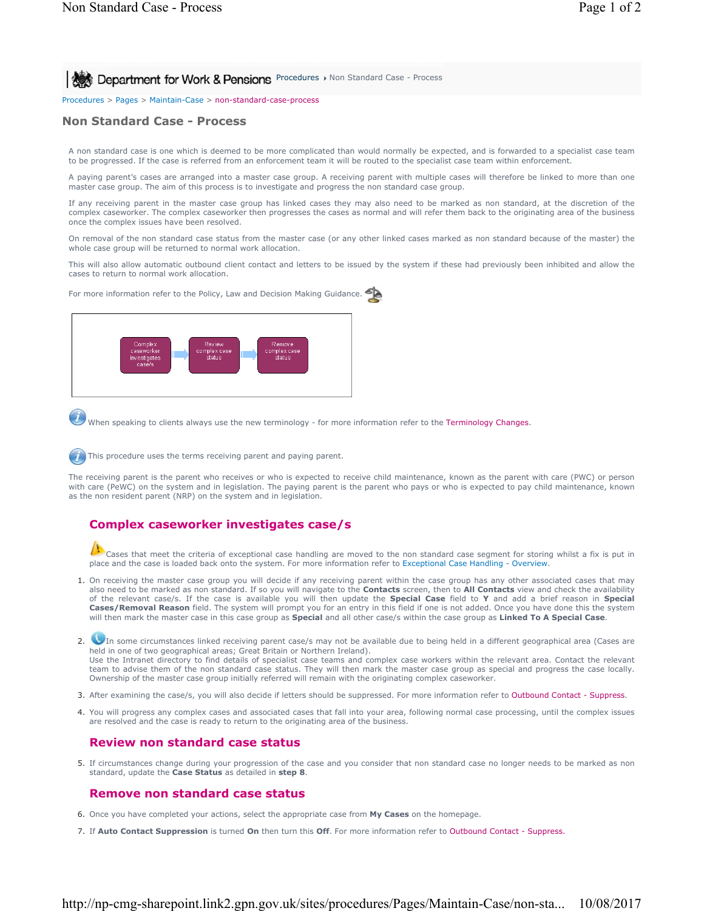**Procedures > Non Standard Case - Process** 

Procedures > Pages > Maintain-Case > non-standard-case-process

## **Non Standard Case - Process**

A non standard case is one which is deemed to be more complicated than would normally be expected, and is forwarded to a specialist case team to be progressed. If the case is referred from an enforcement team it will be routed to the specialist case team within enforcement.

A paying parent's cases are arranged into a master case group. A receiving parent with multiple cases will therefore be linked to more than one master case group. The aim of this process is to investigate and progress the non standard case group.

If any receiving parent in the master case group has linked cases they may also need to be marked as non standard, at the discretion of the complex caseworker. The complex caseworker then progresses the cases as normal and will refer them back to the originating area of the business once the complex issues have been resolved.

On removal of the non standard case status from the master case (or any other linked cases marked as non standard because of the master) the whole case group will be returned to normal work allocation.

This will also allow automatic outbound client contact and letters to be issued by the system if these had previously been inhibited and allow the cases to return to normal work allocation.

For more information refer to the Policy, Law and Decision Making Guidance.



When speaking to clients always use the new terminology - for more information refer to the Terminology Changes.

This procedure uses the terms receiving parent and paying parent.

The receiving parent is the parent who receives or who is expected to receive child maintenance, known as the parent with care (PWC) or person with care (PeWC) on the system and in legislation. The paying parent is the parent who pays or who is expected to pay child maintenance, known as the non resident parent (NRP) on the system and in legislation.

## **Complex caseworker investigates case/s**

Cases that meet the criteria of exceptional case handling are moved to the non standard case segment for storing whilst a fix is put in place and the case is loaded back onto the system. For more information refer to Exceptional Case Handling - Overview.

1. On receiving the master case group you will decide if any receiving parent within the case group has any other associated cases that may also need to be marked as non standard. If so you will navigate to the **Contacts** screen, then to **All Contacts** view and check the availability of the relevant case/s. If the case is available you will then update the **Special Case** field to **Y** and add a brief reason in **Special Cases/Removal Reason** field. The system will prompt you for an entry in this field if one is not added. Once you have done this the system will then mark the master case in this case group as **Special** and all other case/s within the case group as **Linked To A Special Case**.

In some circumstances linked receiving parent case/s may not be available due to being held in a different geographical area (Cases are 2. held in one of two geographical areas; Great Britain or Northern Ireland). Use the Intranet directory to find details of specialist case teams and complex case workers within the relevant area. Contact the relevant team to advise them of the non standard case status. They will then mark the master case group as special and progress the case locally. Ownership of the master case group initially referred will remain with the originating complex caseworker.

- 3. After examining the case/s, you will also decide if letters should be suppressed. For more information refer to Outbound Contact Suppress.
- 4. You will progress any complex cases and associated cases that fall into your area, following normal case processing, until the complex issues are resolved and the case is ready to return to the originating area of the business.

## **Review non standard case status**

If circumstances change during your progression of the case and you consider that non standard case no longer needs to be marked as non 5. standard, update the **Case Status** as detailed in **step 8**.

## **Remove non standard case status**

- 6. Once you have completed your actions, select the appropriate case from **My Cases** on the homepage.
- 7. If **Auto Contact Suppression** is turned **On** then turn this **Off**. For more information refer to Outbound Contact Suppress.